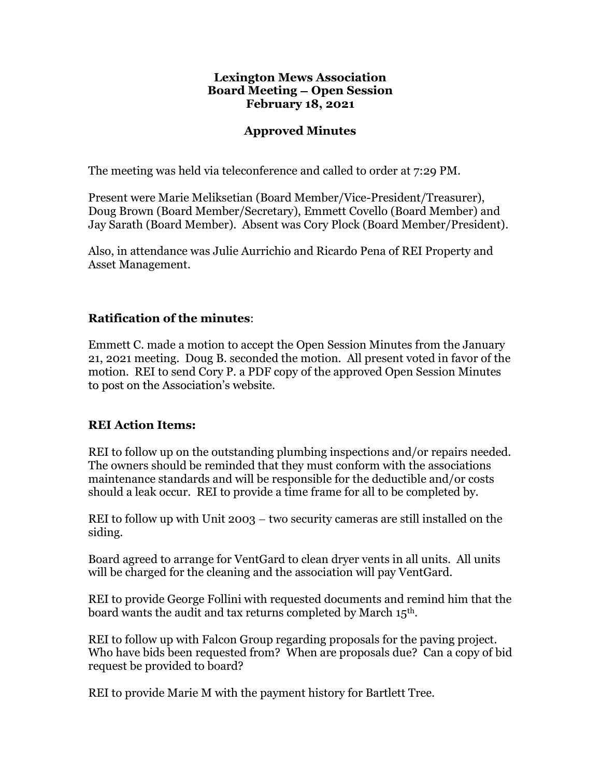#### Lexington Mews Association Board Meeting – Open Session February 18, 2021

#### Approved Minutes

The meeting was held via teleconference and called to order at 7:29 PM.

Present were Marie Meliksetian (Board Member/Vice-President/Treasurer), Doug Brown (Board Member/Secretary), Emmett Covello (Board Member) and Jay Sarath (Board Member). Absent was Cory Plock (Board Member/President).

Also, in attendance was Julie Aurrichio and Ricardo Pena of REI Property and Asset Management.

#### Ratification of the minutes:

Emmett C. made a motion to accept the Open Session Minutes from the January 21, 2021 meeting. Doug B. seconded the motion. All present voted in favor of the motion. REI to send Cory P. a PDF copy of the approved Open Session Minutes to post on the Association's website.

#### REI Action Items:

REI to follow up on the outstanding plumbing inspections and/or repairs needed. The owners should be reminded that they must conform with the associations maintenance standards and will be responsible for the deductible and/or costs should a leak occur. REI to provide a time frame for all to be completed by.

REI to follow up with Unit  $2003 -$  two security cameras are still installed on the siding.

Board agreed to arrange for VentGard to clean dryer vents in all units. All units will be charged for the cleaning and the association will pay VentGard.

REI to provide George Follini with requested documents and remind him that the board wants the audit and tax returns completed by March 15<sup>th</sup>.<br>REI to follow up with Falcon Group regarding proposals for the paving project.

Who have bids been requested from? When are proposals due? Can a copy of bid request be provided to board?

REI to provide Marie M with the payment history for Bartlett Tree.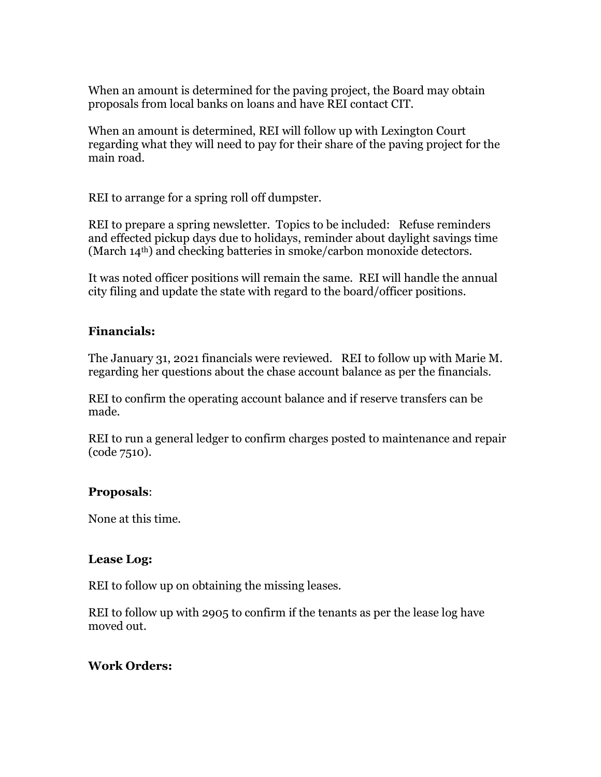When an amount is determined for the paving project, the Board may obtain proposals from local banks on loans and have REI contact CIT.

When an amount is determined, REI will follow up with Lexington Court regarding what they will need to pay for their share of the paving project for the main road.

REI to arrange for a spring roll off dumpster.

REI to prepare a spring newsletter. Topics to be included: Refuse reminders and effected pickup days due to holidays, reminder about daylight savings time (March 14th) and checking batteries in smoke/carbon monoxide detectors.

It was noted officer positions will remain the same. REI will handle the annual city filing and update the state with regard to the board/officer positions.

# Financials:

The January 31, 2021 financials were reviewed. REI to follow up with Marie M. regarding her questions about the chase account balance as per the financials.

REI to confirm the operating account balance and if reserve transfers can be made.

REI to run a general ledger to confirm charges posted to maintenance and repair (code 7510).

# Proposals:

None at this time.

# Lease Log:

REI to follow up on obtaining the missing leases.

REI to follow up with 2905 to confirm if the tenants as per the lease log have moved out.

# Work Orders: